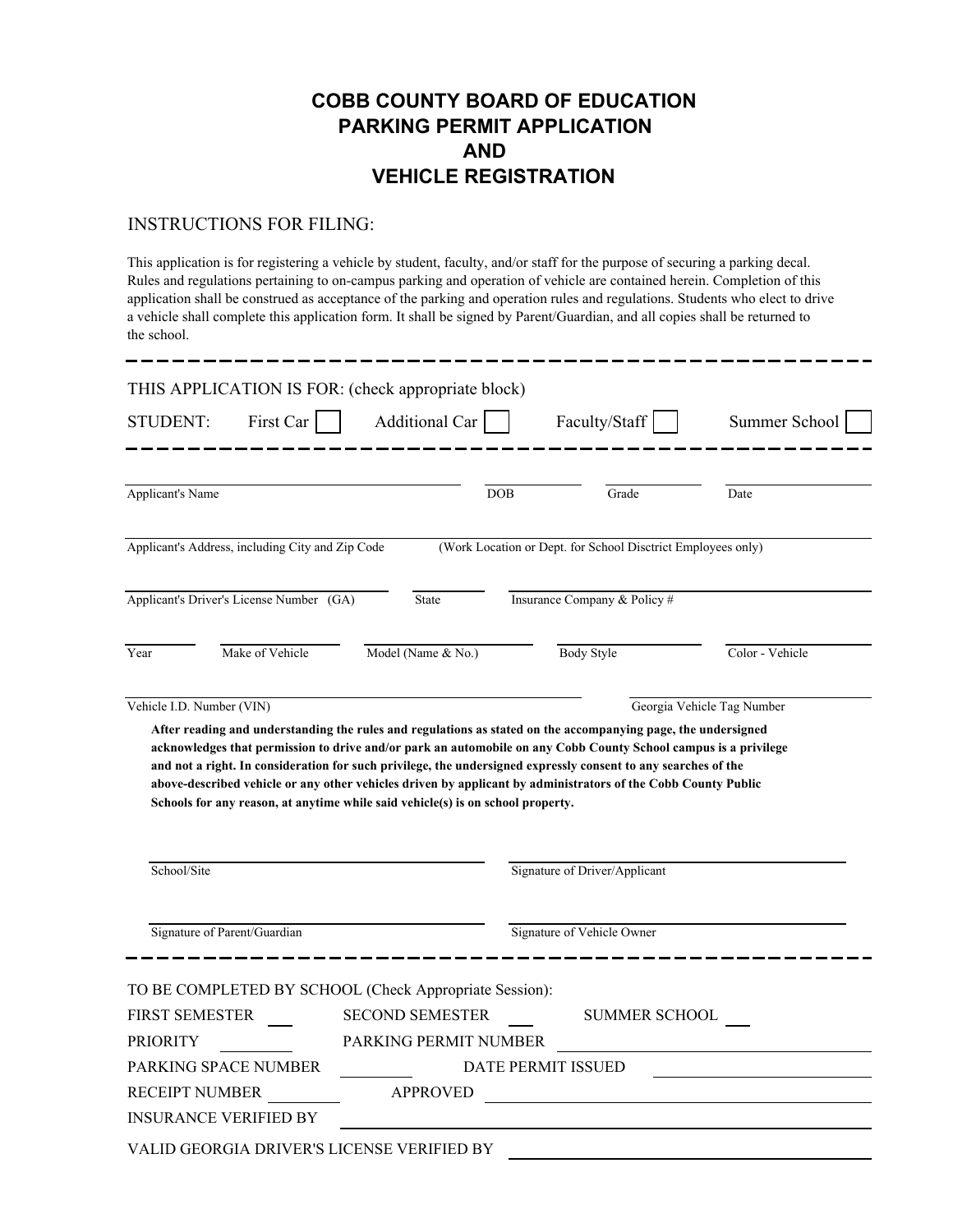## **COBB COUNTY BOARD OF EDUCATION PARKING PERMIT APPLICATION AND VEHICLE REGISTRATION**

## INSTRUCTIONS FOR FILING:

This application is for registering a vehicle by student, faculty, and/or staff for the purpose of securing a parking decal. Rules and regulations pertaining to on-campus parking and operation of vehicle are contained herein. Completion of this application shall be construed as acceptance of the parking and operation rules and regulations. Students who elect to drive a vehicle shall complete this application form. It shall be signed by Parent/Guardian, and all copies shall be returned to the school.

| THIS APPLICATION IS FOR: (check appropriate block)                                                                                                                                                                                                                                                                 |                        |                               |                                                              |                 |
|--------------------------------------------------------------------------------------------------------------------------------------------------------------------------------------------------------------------------------------------------------------------------------------------------------------------|------------------------|-------------------------------|--------------------------------------------------------------|-----------------|
| <b>STUDENT:</b><br>First Car                                                                                                                                                                                                                                                                                       | Additional Car         |                               | Faculty/Staff                                                | Summer School   |
|                                                                                                                                                                                                                                                                                                                    |                        |                               |                                                              |                 |
| <b>Applicant's Name</b>                                                                                                                                                                                                                                                                                            |                        | <b>DOB</b>                    | Grade                                                        | Date            |
| Applicant's Address, including City and Zip Code                                                                                                                                                                                                                                                                   |                        |                               | (Work Location or Dept. for School Disctrict Employees only) |                 |
| Applicant's Driver's License Number (GA)<br>State                                                                                                                                                                                                                                                                  |                        |                               | Insurance Company & Policy #                                 |                 |
| Make of Vehicle<br>Year                                                                                                                                                                                                                                                                                            | Model (Name & No.)     |                               | <b>Body Style</b>                                            | Color - Vehicle |
| and not a right. In consideration for such privilege, the undersigned expressly consent to any searches of the<br>above-described vehicle or any other vehicles driven by applicant by administrators of the Cobb County Public<br>Schools for any reason, at anytime while said vehicle(s) is on school property. |                        |                               |                                                              |                 |
| School/Site                                                                                                                                                                                                                                                                                                        |                        | Signature of Driver/Applicant |                                                              |                 |
| Signature of Parent/Guardian                                                                                                                                                                                                                                                                                       |                        | Signature of Vehicle Owner    |                                                              |                 |
| TO BE COMPLETED BY SCHOOL (Check Appropriate Session):                                                                                                                                                                                                                                                             |                        |                               |                                                              |                 |
| FIRST SEMESTER                                                                                                                                                                                                                                                                                                     | <b>SECOND SEMESTER</b> |                               | SUMMER SCHOOL                                                |                 |
| <b>PRIORITY</b>                                                                                                                                                                                                                                                                                                    | PARKING PERMIT NUMBER  |                               |                                                              |                 |
| PARKING SPACE NUMBER<br>DATE PERMIT ISSUED                                                                                                                                                                                                                                                                         |                        |                               |                                                              |                 |
| RECEIPT NUMBER                                                                                                                                                                                                                                                                                                     | <b>APPROVED</b>        |                               |                                                              |                 |
| <b>INSURANCE VERIFIED BY</b>                                                                                                                                                                                                                                                                                       |                        |                               |                                                              |                 |
| VALID GEORGIA DRIVER'S LICENSE VERIFIED BY                                                                                                                                                                                                                                                                         |                        |                               |                                                              |                 |